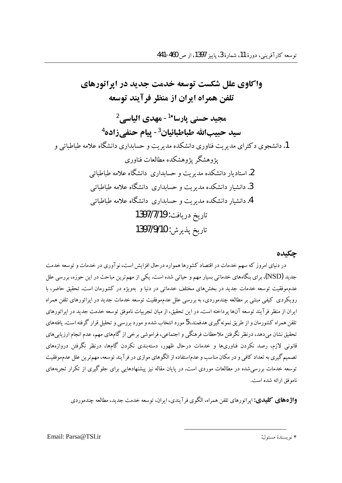واكاوي علل شكست توسعه خدمت حديد در ابراتورهاي تلفن همراه ايران از منظر فرآيند توسعه محید حسنے, بارسا\*<sup>1</sup>- مهدی الیاسے,<sup>2</sup> سيد حييبالله طباطبائيان<sup>3</sup>- يبام حنفي زاده<sup>4</sup> 1. دانشجوی د کترای مدیریت فناوری دانشکده مدیریت و حسابداری دانشگاه علامه طباطبائی و پژوهشگر پژوهشکده مطالعات فناوری 2. استادیار دانشکده مدبریت و حسابداری دانشگاه علامه طباطبائی .<br>3. دانشبار دانشکده مدبریت و حسابداری دانشگاه علامه طباطبائ<sub>ی</sub> 4.دانشیار دانشکده مدیریت و حسابداری دانشگاه علامه طباطبائی تاريخ دريافت: 1397/7/19 تاريخ پذيرش: 1397/9/10

#### حكىدە

در دنیای امروز که سهم خدمات در اقتصاد کشورها همواره درحال افزایش است، نوآوری در خدمات و توسعه خدمت جدید (NSD)، برای بنگاههای خدماتی بسیار مهم و حیاتی شده است. یکی از مهمترین مباحث در این حوزه، بررسی علل عدم.موفقیت توسعه خدمات جدید در بخشهای مختلف خدماتی در دنیا و بهویژه در کشورمان است. تحقیق حاضر، با رویکردی کیفی مبتنی بر مطالعه چندموردی، به بررسی علل عدم.وفقیت توسعه خدمات جدید در اپراتورهای تلفن همراه ایران از منظر فرآیند توسعه آنها پرداخته است. در این تحقیق، از میان تجربیات ناموفق توسعه خدمت جدید در اپراتورهای تلفن همراه کشورمان و از طریق نمونه گیری هدفمند، 5 مورد انتخاب شده و مورد بررسی و تحلیل قرار گرفته است. یافتههای تحقیق نشان میدهد، درنظر نگرفتن ملاحظات فرهنگی و اجتماعی، فراموشی برخی از گامهای مهم، عدم انجام ارزیابیهای .<br>قانونی لازم، رصد نکردن فناوریها و خدمات درحال ظهور، دستهبندی نکردن گامها، درنظر نگرفتن دروازههای تصمیم گیری به تعداد کافی و در مکان مناسب و عدم|ستفاده از الگوهای موازی در فرآیند توسعه، مهم ترین علل عدمموفقیت توسعه خدمات بررسیشده در مطالعات موردی است. در پایان مقاله نیز پیشنهادهایی برای جلوگیری از تکرار تجربههای ناموفق ارائه شده است.

**واژدهای کلیدی:** ایراتورهای تلفن همراه، الگوی فر آیندی، ایران، توسعه خدمت جدید، مطالعه چندموردی

Email: Parsa@TSLir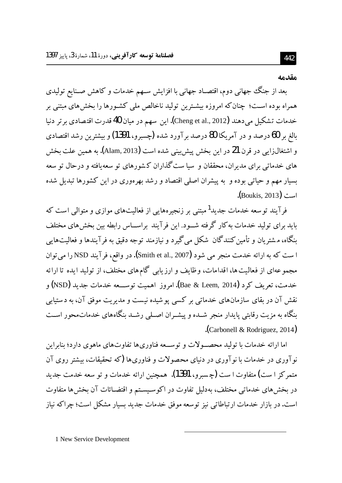#### مقدمه

بعد از جنگ جهانی دوم، اقتصـاد جهانی با افزایش سـهم خدمات و کاهش صـنایع تولیدی همراه بوده اسـت؛ چنان كه امروزه بیشـترین تولید ناخالص ملی كشـورها را بخش های مبتنی بر خدمات تشكيل ميدهند (Cheng et al., 2012). اين سهم در ميان 40 قدرت اقتصادي برتر دنيا بالغ بر 60 درصد و در آمریکا 80 درصد بر آورد شده (چسبرو، 1391) و بیشترین رشد اقتصادی و اشتغالزایی در قرن **21** در این بخش پیش بینی شده است (Alam, 2013). به همین علت بخش .<br>های خدماتی برای مدیران، محققان و سیا ست گذاران کشورهای تو سعهیافته و درحال تو سعه بسیار مهم و حیاتی بوده و به پیشران اصلی اقتصاد و رشد بهرهوری در این کشورها تبدیل شده .(Boukis, 2013)

فرآیند توسعه خدمات جدید<sup>1</sup> مبتنی بر زنجیرههایی از فعالیتهای موازی و متوالی است که باید برای تولید خدمات به کار گرفته شــود. این فرآیند براســاس رابطه بین بخشهای مختلف بنگاه، مشتریان و تأمین کنندگان شکل میگیرد و نیازمند توجه دقیق به فرآیندها و فعالیتهایی ا ست که به ارائه خدمت منجر می شود (Smith et al., 2007). در واقع، فرآیند NSD را میتوان مجموعهای از فعالیت ها، اقدامات، وظایف و ارزیابی گام های مختلف، از تولید ایده تا ارائه خدمت، تعريف كرد (Bae & Leem, 2014). امروز اهميت توســـعه خدمات جديد (NSD) و نقش آن در بقای سازمانهای خدماتی بر کسی پوشیده نیست و مدیریت موفق آن، به دستیابی بنگاه به مزیت رقابتی پایدار منجر شـده و پیشـران اصـلی رشـد بنگاههای خدماتمحور اسـت .(Carbonell & Rodriguez, 2014).

اما ارائه خدمات با تولید محصـولات و توســعه فناوریها تفاوتهای ماهوی دارد؛ بنابراین نو آوری در خدمات با نو آوری در دنیای محصولات و فناوریها (که تحقیقات، بیشتر روی آن متمرکز ۱ست) متفاوت۱ست (چسبرو، 1391). همچنین ارائه خدمات و تو سعه خدمت جدید در بخشهای خدماتی مختلف، بهدلیل تفاوت در اکوسیستم و اقتضـائات آن بخشها متفاوت است. در بازار خدمات ارتباطاتی نیز توسعه موفق خدمات جدید بسیار مشکل است؛ چراکه نیاز

1 New Service Development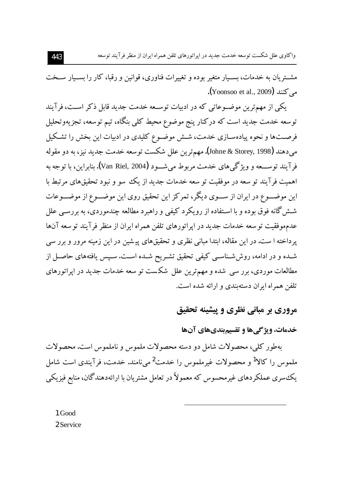مشــتريان به خدمات، بســيار متغير بوده و تغييرات فناوري، قوانين و رقبا، كار را بســيار ســخت می کنند (Yoonsoo et al., 2009**)**.

یکی از مهم ترین موضـوعاتی که در ادبیات توسـعه خدمت جدید قابل ذکر اسـت، فرآیند توسعه خدمت جدید است که درکنار پنج موضوع محیط کلی بنگاه، تیم توسعه، تجزیهوتحلیل فرصــتها و نحوه پیادهســازی خدمت، شــش موضــوع کلیدی در ادبیات این بخش را تشـکیل مبي دهند (Johne & Storey, 1998). مهم ترين علل شكست توسعه خدمت جديد نيز، به دو مقوله فرآيند توســـعه و ويژگي&اي خدمت مربوط مي شـــود (Van Riel, 2004). بنابراين، ما توجه به اهمیت فرآیند تو سعه در موفقیت تو سعه خدمات جدید از یک سو و نبود تحقیقهای مرتبط با این موضـــوع در ایران از ســـوی دیگر، تمرکز این تحقیق روی این موضـــوع از موضـــوعات شـش گانه فوق بوده و با اسـتفاده از رويكرد كيفي و راهبرد مطالعه چندموردي، به بررسـي علل عدمهو فقيت تو سعه خدمات جديد در ايراتورهاي تلفن همراه ايران از منظر فرآيند تو سعه آنها پرداخته ا ست. در این مقاله، ابتدا مبانی نظری و تحقیقهای پیشین در این زمینه مرور و برر سی شـده و در ادامه، روش شـناسـي كيفي تحقيق تشـريح شـده اسـت. سـيس يافتههاي حاصـل از مطالعات موردی، برر سی شده و مهمترین علل شکست تو سعه خدمات جدید در ایراتورهای تلفن همراه ایران دسته بندی و ارائه شده است.

## مروري بر مباني نظري و پيشينه تحقيق

### خدمات، ويژگى ها و تقسيم بندي هاي آن ها

بهطور کلی، محصولات شامل دو دسته محصولات ملموس و ناملموس است. محصولات ملموس را کالا<sup>1</sup> و محصولات غیرملموس را خدمت<sup>2</sup> میiامند. خدمت، فرآیندی است شامل یک سری عملکردهای غیرمحسوس که معمولاً در تعامل مشتریان با ارائهدهندگان، منابع فیزیکی

1 Good 2 Service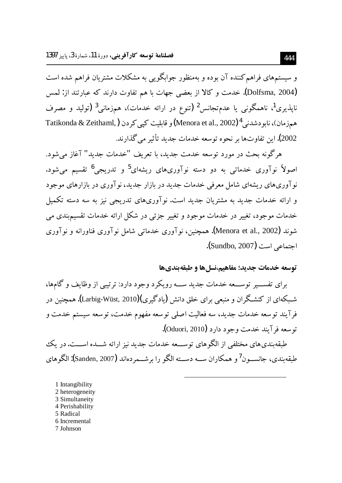و سیستمهای فراهم کننده آن بوده و بهمنظور جوابگویی به مشکلات مشتریان فراهم شده است (Dolfsma, 2004). خدمت و كالا از بعضي جهات با هم تفاوت دارند كه عبارتند از: لمس ناپذیری<sup>1</sup>، ناهمگونی یا عدمتجانس<sup>2</sup> (تنوع در ارائه خدمات)، همزمانی<sup>3</sup> (تولید و مصرف همزمان)، نابو دشدنی 4 (Menora et al., 2002) و قابلیت کیے کردن ( Tatikonda & Zeithaml, 2002). این تفاوتها بر نحوه توسعه خدمات جدید تأثیر می گذارند.

هرگونه بحث در مورد توسعه خدمت جدید، با تعریف "خدمات جدید" آغاز می شود. اصولاً نوآوری خدماتی به دو دسته نوآوریهای ریشهای<sup>5</sup> و تدریجی<sup>6</sup> تقسیم میشود. نوآوریهای ریشهای شامل معرفی خدمات جدید در بازار جدید، نوآوری در بازارهای موجود و ارائه خدمات جدید به مشتریان جدید است. نوآوریهای تدریجی نیز به سه دسته تکمیل خدمات موجود، تغییر در خدمات موجود و تغییر جزئی در شکل ارائه خدمات تقسیمبندی می شوند (Menora et al., 2002). همچنین، نوآوری خدماتی شامل نوآوری فناورانه و نوآوری اجتماعی است (Sundbo, 2007).

### توسعه خدمات جديد؛ مفاهيم،نسلها و طبقهبنديها

برای تفســـیر توســـعه خدمات جدید ســـه رویکرد وجود دارد: ترتیبی از وظایف و گامها، شــکهای از کنشـگران و منـعی برای خلق دانش (بادگیری)(Larbig-Wüst, 2010). همچنین در فر آیند توسعه خدمات جدید، سه فعالیت اصلی توسعه مفهوم خدمت، توسعه سیستم خدمت و توسعه فر آیند خدمت وجود دارد (Oduori, 2010).

طبقه بندی های مختلفی از الگو های توســـعه خدمات جدید نیز ارائه شـــده اســـت. در یک طبقه بندی، جانســون<sup>7</sup>و همکاران ســه دســته الگو را برشــمردهاند (Sanden, 2007**):** الگوهای

1 Intangibility 2 heterogeneity 3 Simultaneity 4 Perishability 5 Radical 6 Incremental 7 Johnson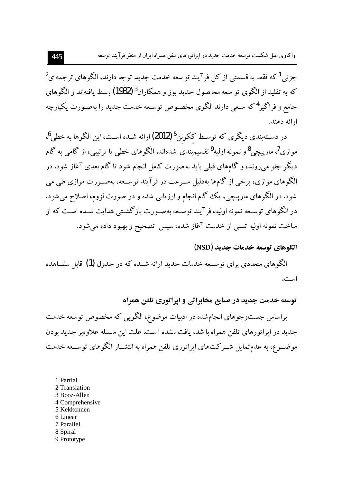واکاوی علل شکست توسعه خدمت جدید در ایراتورهای تلفن همراه ایران از منظر فرآیند توسعه

جزئي <sup>1</sup> كه فقط به قسمتي از كل فرآيند تو سعه خدمت جديد توجه دارند، الگو هاي ترجمهاي<sup>2</sup> که به تقلید از الگوی تو سعه محصول جدید بوز و همکاران<sup>3</sup> (1982) بسط بافتهاند و الگه های جامع و فراگیر <sup>4</sup> که سـعی دارند الگوی مخصـوص توسـعه خدمت جدید را مەصـورت یکیارچه ار ائه دهند.

در دسـتهبندی دیگری که توسـط ککونن<sup>5</sup>(2012) ارائه شـده اسـت، این الگوها به خط<sub>،</sub> <sup>6</sup>، موازي<sup>7</sup>، مارييچي<sup>8</sup>و نمونه اوليه<sup>9</sup> تقسيمېندي شدهاند. الگوهاي خطي يا ترتيبي، از گامې به گام دیگر جلو می روند، و گامهای قبلی باید بهصورت کامل انجام شود تا گام بعدی آغاز شود. در الگوهای موازی، برخی از گامها بهدلیل سـرعت در فرآیند توسـعه، بهصـورت موازی طی می شود. در الگوهای مارپیچی، یک گام انجام و ارزیابی شده و در صورت لزوم، اصلاح می شود. در الگوهای توسـعه نمونه اولیه، فرآیند توسـعه بهصـورت بازگشـتی هدایت شـده اسـت که از ساخت نمونه اوليه تستى از خدمت آغاز شده، سيس تصحيح و بهبود داده مى شود.

### الگوهای توسعه خدمات جدید (NSD)

الگوهای متعددی برای توسـعه خدمات جدید ارائه شــده که در جدول (1) قابل مشــاهده است.

توسعه خدمت جدید در صنایع مخابراتی و ایراتوری تلفن همراه

براساس جستوجوهای انجامشده در ادبیات موضوع، الگویی که مخصوص توسعه خدمت جدید در اپراتورهای تلفن همراه با شد، یافت نشده ا ست. علت این مسئله علاوهبر جدید بودن موضـــوع، به عدمتمایل شـــرکت۱عای اپراتوری تلفن همراه به انتشـــار الگوهای توســـعه خدمت

1 Partial 2 Translation 3 Booz-Allen 4 Comprehensive 5 Kekkonnen 6 Linear 7 Parallel 8 Spiral 9 Prototype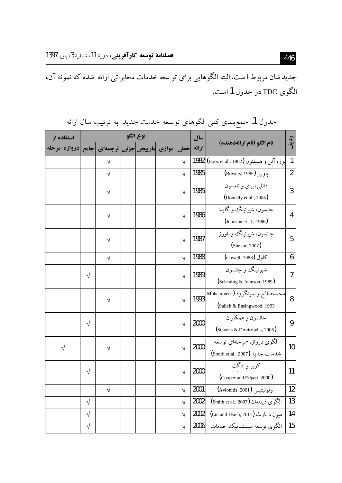جدید شان مربوط ا ست. البته الگوهایی برای تو سعه خدمات مخابراتی ارائه شده که نمونه آن، الگوي TDC در جدول 1 است.

| استفاده از                                | نوع الگو  |            |  |  |       | سال        |       |                                                                       |    |
|-------------------------------------------|-----------|------------|--|--|-------|------------|-------|-----------------------------------------------------------------------|----|
| مارپیچی جزئی  ترجمه ی  جامع  دروازه-مرحله |           |            |  |  | موازي | خطی        | ارائه | نام الگو (نام ارائهدهنده)                                             |    |
|                                           |           | $\sqrt{}$  |  |  |       | $\sqrt{}$  |       | 1982 (Booz et al., 1982) بوز، آلن و هميلتون                           | 1  |
|                                           |           | $\sqrt{}$  |  |  |       | $\sqrt{}$  | 1985  | (Bowers, 1985)                                                        | 2  |
|                                           |           |            |  |  |       | $\sqrt{}$  | 1985  | دانلی، بری و تامسون<br>(Donnely et al., 1985)                         | 3  |
|                                           |           | V          |  |  |       | $\sqrt{}$  | 1986  | جانسون، شيوئينگ و گايدا<br>$\left(\text{Johnson et al., }1986\right)$ | 4  |
|                                           |           | V          |  |  |       | $\sqrt{}$  | 1987  | جانسون، شيوئينگ و باورز<br>(Shekar, 2007)                             | 5  |
|                                           |           | $\sqrt{ }$ |  |  |       | $\sqrt{}$  | 1988  | Cowell, 1988) كاول                                                    | 6  |
|                                           | $\sqrt{}$ |            |  |  |       | $\sqrt{}$  | 1989  | شيوئينگ و جانسون<br>(Scheuing & Johnson, 1989)                        | 7  |
|                                           |           | $\sqrt{ }$ |  |  |       | $\sqrt{}$  | 1993  | محمدصالح و اسینگوود (Nohammed-<br>(Salleh & Easingwood, 1993          | 8  |
|                                           | $\sqrt{}$ |            |  |  |       | $\sqrt{ }$ | 2000  | جانسون و همکاران<br>(Stevens & Dimitriadis, 2005)                     | 9  |
| $\sqrt{}$                                 |           | $\sqrt{}$  |  |  |       | $\sqrt{ }$ | 2000  | الگوی دروازه-مرحلهای توسعه<br>خدمات جديد (Smith et al., 2007)         | 10 |
|                                           | $\sqrt{}$ |            |  |  |       | $\sqrt{}$  | 2000  | کوپر و ادگت<br>(Cooper and Edgett, 2000)                              | 11 |
|                                           |           | $\sqrt{ }$ |  |  |       | $\sqrt{}$  | 2001  | آولونيتيس (Avlonitis, 2001)                                           | 12 |
|                                           | $\sqrt{}$ |            |  |  |       | $\sqrt{}$  | 2002  | الكوى ذينفعان (Smith et al., 2007)                                    | 13 |
|                                           | $\sqrt{}$ |            |  |  |       | $\sqrt{}$  | 2002  | میرن و بارث (Lin and Hsieh, 2011)                                     | 14 |
|                                           | $\sqrt{}$ |            |  |  |       | $\sqrt{}$  | 2006  | الگوی توسعه سیستماتیک خدمات                                           | 15 |

جدول 1. جمع بندی کلی الگوهای توسعه خدمت جدید به ترتیب سال ارائه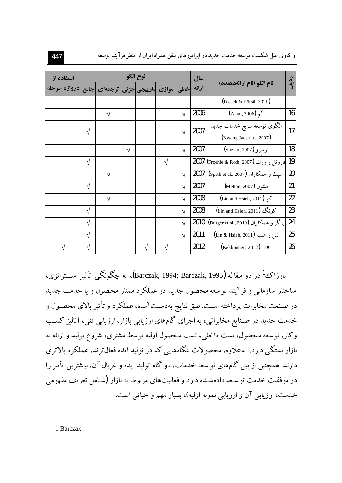| استفاده از                                         | نوع الگو   |            |            |  |            |            | سال   |                                          |           |
|----------------------------------------------------|------------|------------|------------|--|------------|------------|-------|------------------------------------------|-----------|
| خطی  موازی  مارپیچی جزئی ترجمه ی جامع دروازه-مرحله |            |            |            |  |            |            | ارائه | نام الگو (نام ارائهدهنده)                | رد ق<br>ا |
|                                                    |            |            |            |  |            |            |       | $\left($ Posselt & Förstl, 2011)         |           |
|                                                    |            | V          |            |  |            | $\sqrt{ }$ | 2006  | ألم (Alam, 2006)                         | 16        |
|                                                    | $\sqrt{ }$ |            |            |  |            | $\sqrt{ }$ | 2007  | الگوی توسعه سریع خدمات جدید              | 17        |
|                                                    |            |            |            |  |            |            |       | (Kwang-Jae et al., 2007)                 |           |
|                                                    |            |            | $\sqrt{ }$ |  |            | $\sqrt{}$  | 2007  | نوسرو (Shekar, 2007)                     | 18        |
|                                                    | $\sqrt{}$  |            |            |  | $\sqrt{ }$ |            |       | فاروئل و روث (Froehle & Roth, 2007) 2007 | 19        |
|                                                    |            | V          |            |  |            | $\sqrt{}$  | 2007  | اسیث و همکاران (Spath et al., 2007)      | 20        |
|                                                    | $\sqrt{ }$ |            |            |  |            | $\sqrt{}$  | 2007  | ملتون (Melton, 2007)                     | 21        |
|                                                    |            | $\sqrt{ }$ |            |  |            | $\sqrt{ }$ | 2008  | $(Lin and Hsieh, 2011)$ $\leq$           | 22        |
|                                                    | $\sqrt{}$  |            |            |  |            | $\sqrt{ }$ | 2008  | كونگ (Lin and Hsieh, 2011)               | 23        |
|                                                    | $\sqrt{}$  |            |            |  |            | $\sqrt{ }$ | 2010  | برگر و همکاران (Burger et al., 2010)     | 24        |
|                                                    | $\sqrt{ }$ |            |            |  |            | $\sqrt{ }$ | 2011  | لين و هسيه (Lin & Hsieh, 2011)           | 25        |
|                                                    | $\sqrt{}$  |            |            |  |            |            | 2012  | $($ Kekkonnen, 2012 $)$ TDC              | 26        |

واکاوی علل شکست توسعه خدمت جدید در ایراتورهای تلفن همراه ایران از منظر فرآیند توسعه

يارزاك<sup>1</sup> در دو مقاله (Barczak, 1994; Barczak, 1995)، په چگونگي تأثیر است اتژي، ساختار سازمانی و فرآیند توسعه محصول جدید در عملکرد ممتاز محصول و یا خدمت جدید در صـنعت مخابرات پرداخته اسـت. طبق نتايج بهدسـتآمده، عملكرد و تأثير بالاى محصـول و خدمت جدید در صـنایع مخابراتی، به اجرای گامهای ارزیابی بازار، ارزیابی فنی، آنالیز کسـب وکار، توسعه محصول، تست داخلی، تست محصول اولیه توسط مشتری، شروع تولید و ارائه به بازار بستگی دارد. بهعلاوه، محصولات بنگاههایی که در تولید ایده فعال ترند، عملکرد بالاتری دارند. همچنین از بین گامهای تو سعه خدمات، دو گام تولید ایده و غربال آن، بیشترین تأثیر را در موفقیت خدمت توسـعه دادهشـده دارد و فعالیتهای مربوط به بازار (شـامل تعریف مفهومی خدمت، ارزیابی آن و ارزیابی نمونه اولیه)، بسیار مهم و حیاتی است.

1 Barczak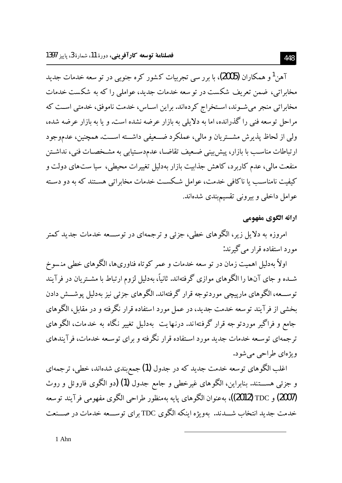آهن<sup>1</sup>و همکاران **(2005)**، با بررسی تجربیات کشور کره جنوبی در تو سعه خدمات جدید مخابراتی، ضمن تعریف شکست در توسعه خدمات جدید، عواملی را که به شکست خدمات مخابراتی منجر می شـوند، اسـتخراج کردهاند. براین اسـاس، خدمت ناموفق، خدمتی اسـت که مراحل توسعه فني را گذرانده، اما به دلايلي به بازار عرضه نشده است. و يا به بازار عرضه شده، ولي از لحاظ پذيرش مشــتريان و مالي، عملكرد ضــعيفي داشــته اســت. همچنين، عدموجود ارتباطات مناسـب با بازار، پیش بینی ضـعیف تقاضـا، عدم‹سـتیابی به مشـخصـات فنی، نداشـتن منفعت مالی، عدم کاربرد، کاهش جذابیت بازار بهدلیل تغییرات محیطی، سیا ستهای دولت و کیفیت نامناســــــ یا ناکافی خدمت، عوامل شــکســت خدمات مخابراتی هســتند که به دو دســته عوامل داخلی و بیرونی تقسیمبندی شدهاند.

## ارائه الگوي مفهومي

امروزه به دلایل زیر، الگوهای خطی، جزئی و ترجمهای در توســـعه خدمات جدید کمتر مورد استفاده قرار مے گیرند:

اولاً بهدلیل اهمیت زمان در تو سعه خدمات و عمر کوتاه فناوریها، الگوهای خطی منسوخ شــده و جای آنها را الگوهای موازی گرفتهاند. ثانیاً، بهدلیل لزوم ارتباط با مشــتریان در فرآیند توســـعه، الگوهاي مارييچي موردتوجه قرار گرفتهاند. الگوهاي جزئي نيز بهدليل يوشـــش دادن بخشی از فر آیند توسعه خدمت جدید، در عمل مورد استفاده قرار نگرفته و در مقابل، الگوهای جامع و فراگیر موردتو جه قرار گرفتهاند. درنهایت بهدلیل تغییر نگاه به خدمات، الگو های تر جمهای توسـعه خدمات جدید مورد اسـتفاده قرار نگرفته و برای توسـعه خدمات، فرآیندهای ويژهاي طراحي مي شود.

اغلب الگوهای توسعه خدمت جدید که در جدول (1) جمع بندی شدهاند، خطی، ترجمهای و جزئی هســــتند. بنابراین، الگوهای غیرخطی و جامع جدول (1) (دو الگوی فاروئل و روث (2007) و TDC (2012))، بهعنوان الگوهای پایه بهمنظور طراحی الگوی مفهومی فرآیند توسعه خدمت جدید انتخاب شــدند. مهویژه اینکه الگوی TDC برای توســعه خدمات در صــنعت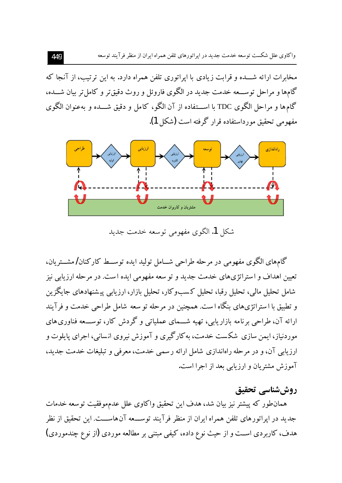واکاوی علل شکست توسعه خدمت جدید در ایراتورهای تلفن همراه ایران از منظر فرآیند توسعه

مخابرات ارائه شـــده و قرابت زیادی با ایراتوری تلفن همراه دارد. به این ترتیب، از آنجا که گامها و مراحل توســـعه خدمت جدید در الگوی فاروئل و روث دقیقتر و کامل تر بیان شـــده، گامها و مراحل الگوی TDC با اســـتفاده از آن الگو، کامل و دقیق شـــده و بهعنوان الگوی مفهومي تحقيق مورداستفاده قرار گرفته است (شكل 1).



شکل 1. الگوی مفهومی توسعه خدمت جدید

گامهای الگوی مفهومی در مرحله طراحی شــامل تولید ایده توســط کارکنان/مشــتریان، تعیین اهداف و استراتژیهای خدمت جدید و تو سعه مفهومی ایده است. در مرحله ارزیابی نیز شامل تحلیل مالی، تحلیل رقبا، تحلیل کسبوکار، تحلیل بازار، ارزیابی پیشنهادهای جایگزین و تطبیق با ا ستراتژیهای بنگاه ا ست. همچنین در مرحله تو سعه شامل طراحی خدمت و فرآیند ارائه آن، طراحی برنامه بازاریابی، تهیه شــمای عملیاتی و گردش کار، توســـعه فناوریهای موردنیاز، ایمن سازی شکست خدمت، بهکارگیری و آموزش نیروی انسانی، اجرای پایلوت و ارزیابی آن، و در مرحله راهاندازی شامل ارائه رسمی خدمت، معرفی و تبلیغات خدمت جدید، آموزش مشتریان و ارزیابی بعد از اجرا است.

### روششناسي تحقيق

همان طور كه پیشتر نیز بیان شد، هدف این تحقیق واكاوی علل عدم موفقیت توسعه خدمات جدید در ایراتورهای تلفن همراه ایران از منظر فرآیند توســـعه آنهاســـت. این تحقیق از نظر هدف، کاربردی اســت و از حیث نوع داده، کیفی مبتنی بر مطالعه موردی (از نوع چندموردی)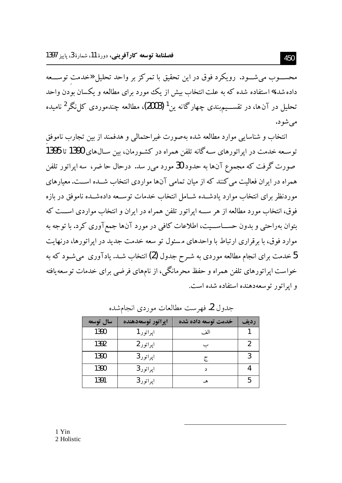محســـوب میشـــود. رویکرد فوق در این تحقیق با تمرکز بر واحد تحلیل «خدمت توســــعه داده شده» استفاده شده که به علت انتخاب بیش از یک مورد برای مطالعه و یکسان بودن واحد تحلیل در آنها، در تقســـیم.بندی چهارگانه ین<sup>1</sup> (2003)، مطالعه چندموردی کا نگر <sup>2</sup> نامیده مې شو د.

انتخاب و شناسایی موارد مطالعه شده بهصورت غیراحتمالی و هدفمند از بین تجارب ناموفق توسـعه خدمت در ايراتورهاي سـه گانه تلفن همراه در كشـورمان، بين سـال9هاي 1390 تا 1395 صورت گرفت که مجموع آنها به حدود 30 مورد می ر سد. درحال حا ضر، ً سه ایراتور تلفن همراه در ایران فعالیت می کنند که از میان تمامی آنها مواردی انتخاب شــده اســت. معیارهای موردنظر برای انتخاب موارد یادشــده شــامل انتخاب خدمات توســعه دادهشــده ناموفق در بازه فوق، انتخاب مورد مطالعه از هر ســه ایراتور تلفن همراه در ایران و انتخاب مواردی اســت که بتوان بهراحتی و بدون حســـاســـیت، اطلاعات کافی در مورد آنها جمعآوری کرد. با توجه به موارد فوق، با برقراری ارتباط با واحدهای مسئول تو سعه خدمت جدید در ایراتورها، درنهایت 5 خدمت برای انجام مطالعه موردی به شـر ح جدول (2) انتخاب شـد. یادآوری می شـود که به  $5$ خواست ایراتورهای تلفن همراه و حفظ محرمانگی، از نامهای فرضی برای خدمات توسعه یافته و ايراتور توسعه دهنده استفاده شده است.

| سال توسعه | اپراتور توسعهدهنده | خدمت توسعه داده شده | رديف |
|-----------|--------------------|---------------------|------|
| 1390      | ايراتور 1          | الف                 |      |
| 1392      | اپراتور 2          |                     |      |
| 1390      | اپراتور 3          | ج                   |      |
| 1390      | اپراتور 3          | $\Delta$            |      |
| 1391      | اپراتور 3          | ھـ                  |      |

جدول 2. فهرست مطالعات موردي انجامشده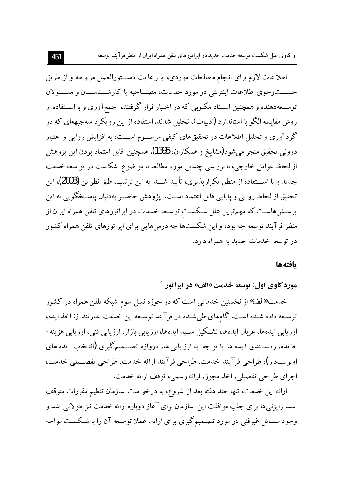اطلاعات لازم براي انجام مطالعات موردي، با رعايت دســـتورالعمل مربوطه و از طريق جســـتوجوي اطلاعات اينترنتي در مورد خدمات، مصـــاحبه با كارشـــناســـان و مســـئولان توســعهدهنده و همچنین اســناد مکتوبی که در اختیار قرار گرفتند، جمعآوری و با اســتفاده از روش مقایسه الگو با استاندارد (ادبیات)، تحلیل شدند. استفاده از این رویکرد سهجبههای که در گردآوری و تحلیل اطلاعات در تحقیقهای کیفی مرســوم اســـت، به افزایش روایی و اعتبار دروني تحقيق منجر مي شود(مشايخ و همكاران، 1395). همچنين قابل اعتماد بودن اين پژوهش از لحاظ عوامل خارجی، با برر سی چندین مورد مطالعه با مو ضوع شکست در تو سعه خدمت جديد و با اســـتفاده از منطق تكراريذيري، تأييد شـــد. به اين ترتيب، طبق نظر ين (2003)، اين تحقيق از لحاظ روايي و پايايي قابل اعتماد اســت. پژوهش حاضــر بهدنبال پاســخگويي به اين یرستش هاست که مهم ترین علل شکست توسعه خدمات در ایراتورهای تلفن همراه ایران از منظر فرآیند توسعه چه بوده و این شکستها چه درس هایی برای ایراتورهای تلفن همراه کشور در توسعه خدمات جدید به همراه دارد.

### بافتهها

مورد کاوي اول: توسعه خدمت «الف» در اپراتور 1

خدمت «الف» از نخستین خدمات<sub>ی</sub> است که در حوزه نسل سوم شبکه تلفن همراه در کشور توسعه داده شـده اسـت. گامهاي طي شـده در فرآيند توسـعه اين خدمت عبارتند از: اخذ ايده، ارزیابی ایدهها، غربال ایدهها، تشــکیل ســبد ایدهها، ارزیابی بازار، ارزیابی فنی، ارزیابی هزینه-فا یده، رتبهبندی ا یده ها با تو جه به ارز یابی ها، دروازه تصــمیمگیری (انتـخاب ا یده های اولويتدار)، طراحي فرآيند خدمت، طراحي فرآيند ارائه خدمت، طراحي تفصــيلي خدمت، اجرای طراحی تفصیلی، اخذ مجوز، ارائه رسمی، توقف ارائه خدمت.

ارائه این خدمت، تنها چند هفته بعد از شروع، به درخواست سازمان تنظیم مقررات متوقف شد. رایزنیها برای جلب موافقت این سازمان برای آغاز دوباره ارائه خدمت نیز طولانی شد و وجود مسـائل غیرفنی در مورد تصـمیمگیری برای ارائه، عملاً توسـعه آن را با شـکســت مواجه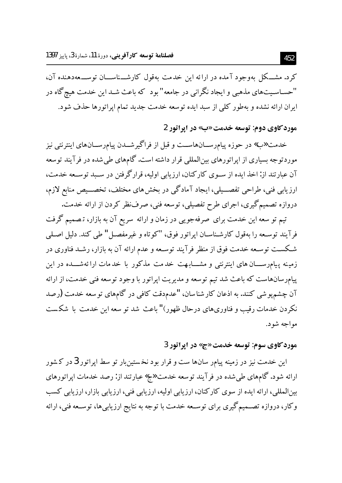کرد. مشــکل بهوجود آمده در ارائه این خدمت بهقول کارشـــناســـان توســـعهدهنده آن، "حســاســیتهای مذهبی و ایجاد نگرانی در جامعه" بود که باعث شــد این خدمت هیچگاه در ایران ارائه نشده و بهطور کلی از سبد ایده توسعه خدمت جدید تمام اپراتورها حذف شود.

## مورد کاوي دوم: توسعه خدمت «ب» در ايراتور 2

خدمت «ب» در حوزه پیامرســـانهاســـت و قبل از فراگیرشـــدن پیامرســـانهای اینترنتی نیز موردتوجه بسیاری از ایراتورهای بین|لمللی قرار داشته است. گامهای طی شده در فرآیند توسعه آن عبارتند از: اخذ ایده از سـوی کارکنان، ارزیابی اولیه، قرارگرفتن در سـبد توسـعه خدمت، ارزیابی فنی، طراحی تفصـــیلی، ایجاد آمادگی در بخش۵های مختلف، تخصـــیص منابع لازم، دروازه تصمیم گیری، اجرای طرح تفصیلی، توسعه فنی، صرفنظر کردن از ارائه خدمت.

تیم تو سعه این خدمت برای صرفهجویی در زمان و ارائه سریع آن به بازار، تصمیم گرفت فرآيند توسـعه را بهقول كارشـناسـان ايراتور فوق، "كوتاه و غيرمفصـل" طي كند. دليل اصـلي شـكسـت توسـعه خدمت فوق از منظر فرآیند توسـعه و عدم ارائه آن به بازار، رشـد فناوری در زمینه پیامرســـان های اینترنتی و مشـــابـهت خدمت مذکور با خدمات ارائهشـــده در این پیامرسانهاست که باعث شد تیم توسعه و مدیریت اپراتور با وجود توسعه فنی خدمت، از ارائه آن چشمپوشی کنند. به اذعان کار شناسان، "عدمدقت کافی در گامهای توسعه خدمت (رصد نکردن خدمات رقیب و فناوریهای درحال ظهور)" باعث شد تو سعه این خدمت با شکست مواجه شود.

## مورد کاوي سوم: توسعه خدمت «ج» در ايراتور 3

این خدمت نیز در زمینه پیامر سانها ست و قرار بود نخستینبار تو سط اپراتور 3 در کشور ارائه شود. گامهای طی شده در فرآیند توسعه خدمت «ج» عبارتند از: رصد خدمات اپراتورهای بین المللی، ارائه ایده از سوی کارکنان، ارزیابی اولیه، ارزیابی فنی، ارزیابی بازار، ارزیابی کسب وکار، دروازه تصــمیمگیری برای توســعه خدمت با توجه به نتایج ارزیابیها، توســعه فنی، ارائه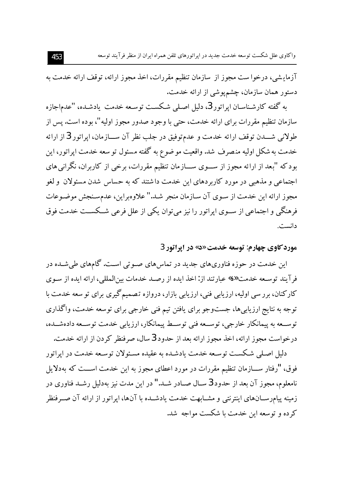آزمایشی، درخوا ست مجوز از سازمان تنظیم مقررات، اخذ مجوز ارائه، توقف ارائه خدمت به دستور همان سازمان، چشمپوشی از ارائه خدمت.

به گفته کارشناسـان ايراتور 3، دليل اصـلي شـکسـت توسـعه خدمت يادشـده، "عدم|جازه سازمان تنظیم مقررات برای ارائه خدمت، حتی با وجود صدور مجوز اولیه"، بوده است. پس از طولاني شـــدن توقف ارائه خدمت و عدمتوفيق در جلب نظر آن ســـازمان، ايراتور 3 از ارائه خدمت به شکل اولیه منصرف شد. واقعیت مو ضوع به گفته مسئول تو سعه خدمت اپراتور، این بود که "بعد از ارائه مجوز از ســـوی ســـازمان تنظیم مقررات، برخی از کاربران، نگرانی های اجتماعی و مذهبی در مورد کاربردهای این خدمت داشتند که به حساس شدن مسئولان و لغو مجوز ارائه این خدمت از سـوی آن سـازمان منجر شـد." علاوهبراین، عدمسـنجش موضـوعات فرهنگی و اجتماعی از سـوی ایراتور را نیز می توان یکی از علل فرعی شــکســت خدمت فوق دانست.

### مورد کاوي چهارم: توسعه خدمت «د» در ايراتور 3

این خدمت در حوزه فناوریهای جدید در تماسهای صـوتی اسـت. گامهای طیشـده در فرآيند توسـعه خدمت «د» عبارتند از: اخذ ايده از رصـد خدمات بين|لمللي، ارائه ايده از سـوى کارکنان، برر سی اولیه، ارزیابی فنی، ارزیابی بازار، دروازه تصمیمگیری برای تو سعه خدمت با توجه به نتایج ارزیابیها، جستوجو برای یافتن تیم فنی خارجی برای توسعه خدمت، واگذاری توســعه به پیمانکار خارجی، توســعه فنی توســط پیمانکار، ارزیابی خدمت توســعه دادهشــده، درخواست مجوز ارائه، اخذ مجوز ارائه بعد از حدود 3 سال، صرفنظر کردن از ارائه خدمت.

دلیل اصلی شکست توسـعه خدمت یادشـده به عقیده مسـئولان توسـعه خدمت در ایراتور فوق، "رفتار ســــازمان تنظيم مقررات در مورد اعطاى مجوز به اين خدمت اســـت كه بهدلايل نامعلوم، مجوز آن بعد از حدود 3 ســال صــادر شــد." در اين مدت نيز بهدليل رشــد فناوري در زمینه پیامرســانهای اینترنتی و مشــابهت خدمت یادشــده با آنها، ایراتور از ارائه آن صــرفنظر کر ده و توسعه این خدمت با شکست مواجه شد.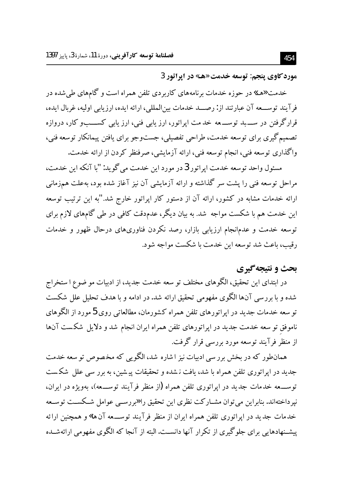مورد کاوي پنجم: توسعه خدمت «هـ» در ايراتور 3

خدمت «هـــ» در حوزه خدمات برنامههای کاربردی تلفن همراه است و گامهای طیشده در فرآيند توســـعه آن عبارتند از: رصـــد خدمات بين|لمللي، ارائه ايده، ارزيابي اوليه، غربال ايده، قرارگرفتن در ســــــبد توســـــــعه خدمت اپراتور، ارز یابی فنی، ارز یابی کســـــبو کار، دروازه تصمیم گیری برای توسعه خدمت، طراحی تفصیلی، جستوجو برای یافتن پیمانکار توسعه فنی، واگذاری توسعه فنی، انجام توسعه فنی، ارائه آزمایشی، صرفنظر کردن از ارائه خدمت.

مسئول واحد توسعه خدمت ايراتور 3 در مورد اين خدمت مي گويد: "با آنكه اين خدمت، مراحل توسعه فنی را پشت سر گذاشته و ارائه آزمایشی آن نیز آغاز شده بود، بهعلت همزمانی ارائه خدمات مشابه در کشور، ارائه آن از دستور کار اپراتور خارج شد."به این ترتیب توسعه این خدمت هم با شکست مواجه ًشد. به بیان دیگر، عدمدقت کافی در طی گامهای لازم برای توسعه خدمت و عدمانجام ارزیابی بازار، رصد نکردن فناوریهای درحال ظهور و خدمات رقیب، باعث شد توسعه این خدمت با شکست مواجه شود.

# بحث و نتيجه گيري

در ابتدای این تحقیق، الگوهای مختلف تو سعه خدمت جدید، از ادبیات مو ضوع ا ستخراج شده و با بررسی آنها الگوی مفهومی تحقیق ارائه شد. در ادامه و با هدف تحلیل علل شکست تو سعه خدمات جدید در اپراتورهای تلفن همراه کشورمان، مطالعاتی روی 5 مورد از الگوهای ناموفق تو سعه خدمت جدید در اپراتورهای تلفن همراه ایران انجام شد و دلایل شکست آنها از منظر فرآیند توسعه مورد بررسی قرار گرفت.

همانطور که در بخش برر سی ادبیات نیز اشاره شد، الگویی که مخصوص تو سعه خدمت جدید در اپراتوری تلفن همراه با شد، یافت نشده و تحقیقات پیشین، به برر سی علل شکست توســــعه خدمات جديد در ايراتوري تلفن همراه (از منظر فرآيند توســــعه)، بهويژه در ايران، نیرداختهاند. بنابراین می توان مشــارکت نظری این تحقیق را «بررســی عوامل شــکســت توســعه خدمات جدید در ایراتوری تلفن همراه ایران از منظر فرآیند توســـعه آن ها» و همچنین ارائه پیشـنهادهایی برای جلوگیری از تکرار آنها دانسـت.البته از آنجا که الگوی مفهومی ارائهشـده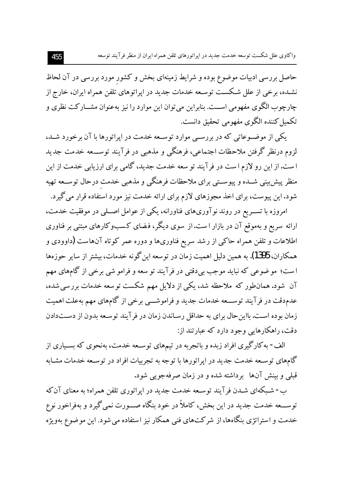حاصل بررسی ادبیات موضوع بوده و شرایط زمینهای بخش و کشور مورد بررسی در آن لحاظ نشـده، برخی از علل شـکسـت توسـعه خدمات جدید در اپراتوهای تلفن همراه ایران، خارج از چارچوب الگوی مفهومی اســت. بنابراین می توان این موارد را نیز بهعنوان مشــار کت نظری و تكميل كننده الگوى مفهومى تحقيق دانست.

یکی از موضوعاتی که در بررسبی موارد توسعه خدمت در ایراتورها با آن برخورد شـد، لزوم درنظر گرفتن ملاحظات اجتماعي، فرهنگي و مذهبي در فرآيند توســـعه خدمت جديد ا ست. از این رو لازم ا ست در فر آیند تو سعه خدمت جدید، گامی برای ارزیابی خدمت از این منظر پیش بینی شــده و پیوســتی برای ملاحظات فرهنگی و مذهبی خدمت درحال توســعه تهیه شود. این پیوست، برای اخذ مجوزهای لازم برای ارائه خدمت نیز مورد استفاده قرار می گیرد.

امروزه با تسـریع در روند نوآوریهای فناورانه، یکی از عوامل اصـلی در موفقیت خدمت، ارائه سریع و بهموقع آن در بازار است.از سوی دیگر، فضای کسبوکارهای مبتنی بر فناوری اطلاعات و تلفن همراه حاکمی از رشد سریع فناوریها و دوره عمر کوتاه آنهاست **(**داوودی و همکاران، 1395). به همین دلیل اهمیت زمان در توسعه این گونه خدمات، بیشتر از سایر حوزهها است؛ مو ضوعی که نباید موجب بی دقتی در فرآیند تو سعه و فرامو شی برخی از گامهای مهم آن شود. همانطور که ملاحظه شد، یکی از دلایل مهم شکست توسعه خدمات بررسی شده، عدمدقت در فرآیند توســـعه خدمات جدید و فراموشـــی برخی از گامهای مهم بهعلت اهمیت زمان بوده است. بااین حال برای به حداقل رسـاندن زمان در فر آیند توسـعه بدون از دسـتدادن دقت، راهکارهایی وجود دارد که عبارتند از:

الف- به کارگیری افراد زبده و باتجربه در تیمهای توسـعه خدمت، بهنحوی که بسـیاری از گامهای توسـعه خدمت جدید در اپراتورها با توجه به تجربیات افراد در توسـعه خدمات مشـابه قبلی و بینش آنها برداشته شده و در زمان صرفهجویی شود.

ب- شـبکهای شـدن فرآیند توسـعه خدمت جدید در اپراتوری تلفن همراه؛ به معنای آن که توســـعه خدمت جدید در این بخش، کاملاً در خود بنگاه صـــورت نمی گیرد و بهفراخور نوع خدمت و استراتژی بنگاهها، از شرکتهای فنی همکار نیز استفاده می شود. این موضوع بهویژه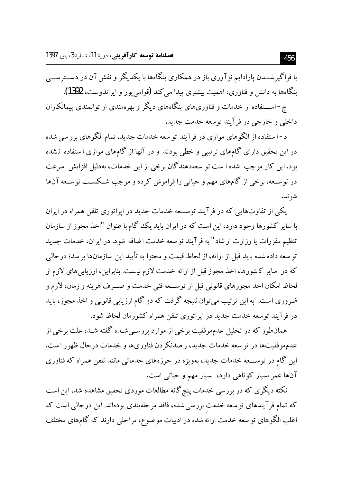با فراگیر شـــدن پارادایم نوآوری باز در همکاری بنگاهها با یکدیگر و نقش آن در دســـترســـی بنگاهها به دانش و فناوري، اهميت بيشتري پيدا مي كند (قوامي پور و ايراندوست، 1392). ج- اســـتفاده از خدمات و فناوریهای بنگاههای دیگر و بهرهمندی از توانمندی پیمانکاران

داخلی و خارجی در فرآیند توسعه خدمت جدید.

د - استفاده از الگوهای موازی در فرآیند تو سعه خدمات جدید. تمام الگوهای بررسی شده در این تحقیق دارای گامهای ترتیبی و خطی بودند و در آنها از گامهای موازی ا ستفاده نشده بود.این کار موجب شده ا ست تو سعهدهندگان برخی از این خدمات، بهدلیل افزایش ً سرعت در توســعه، برخي از گامهاي مهم و حياتي را فراموش كرده و موجب شــكســت توســعه آنها شو ند.

یکی از تفاوتهایی که در فرآیند توســعه خدمات جدید در ایراتوری تلفن همراه در ایران با سایر کشورها وجود دارد، این است که در ایران باید یک گام با عنوان "اخذ مجوز از سازمان تنظيم مقررات يا وزارت ار شاد" به فرآيند تو سعه خدمت اضافه شود. در ايران، خدمات جديد تو سعه داده شده بايد قبل از ارائه، از لحاظ قيمت و محتوا به تأييد اين سازمانها بر سد؛ درحالي که در سایر کشورها، اخذ مجوز قبل از ارائه خدمت لازم نیست. بنابراین، ارزیابیهای لازم از لحاظ امکان اخذ مجوزهای قانونی قبل از توســعه فنی خدمت و صـــرف هزینه و زمان، لازم و ضروری است. به این ترتیب می;توان نتیجه گرفت که دو گام ارزیابی قانونی و اخذ مجوز، باید در فرآیند توسعه خدمت جدید در ایراتوری تلفن همراه کشورمان لحاظ شود.

همانطور که در تحلیل عدمهوفقیت برخی از موارد بررسـیشـده گفته شـد، علت برخی از عدمهوفقيتها در توسعه خدمات جديد، رصدنكردن فناوريها و خدمات درحال ظهور است. این گام در توســــعه خدمات جدید، بهویژه در حوزههای خدماتی مانند تلفن همراه که فناوری آنها عمر بسیار کوتاهی دارد، بسیار مهم و حیاتی است.

نکته دیگری که در بررسی خدمات پنج گانه مطالعات موردی تحقیق مشاهده شد، این است که تمام فرآیندهای توسعه خدمت بررسی شده، فاقد مرحلهبندی بودهاند. این درحالی است که اغلب الگوهای تو سعه خدمت ارائه شده در ادبیات موضوع، مراحلی دارند که گامهای مختلف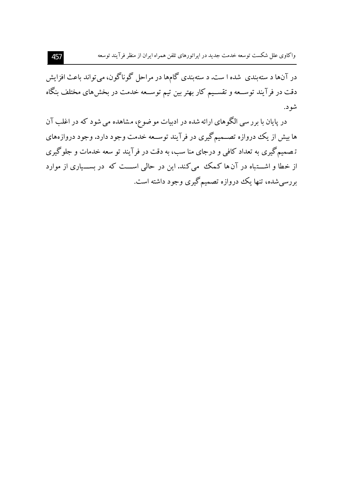در آنها د ستهبندی شده ا ست. د ستهبندی گامها در مراحل گوناگون، می تواند باعث افزایش دقت در فرآیند توســعه و تقســیم کار بهتر بین تیم توســعه خدمت در بخش۵ای مختلف بنگاه شو د.

در پایان با برر سی الگوهای ارائه شده در ادبیات مو ضوع، مشاهده می شود که در اغلب آن ها بیش از یک دروازه تصــمیمگیری در فرآیند توســعه خدمت وجود دارد. وجود دروازههای تـصمیمگیری به تعداد کافی و درجای منا سب، به دقت در فرآیند تو سعه خدمات و جلوگیری از خطا و اشـــتباه در آن ها کـمک می کند. این در حالی اســـت که در بســـیاری از موارد بررسی شده، تنها یک دروازه تصمیم گیری وجود داشته است.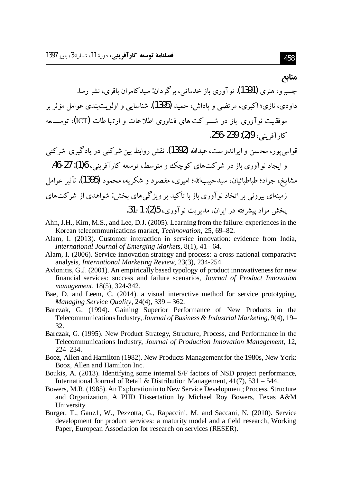#### مناىع

چسبرو، هنری **(1391)**. نوآوری باز خدمات<sub>ی</sub>، برگردان: سیدکامران باقری، نشر رسا. داودي، نازي؛ اکيږي، مرتضي و ياداش، حميد (1395). شناسايي و اولو پت بندي عوامل مؤ ثر پر موفقیت نوآوری باز در شــر کت های فناوری اطلاعات و ارتباطات (ICT)، توســـعه كار آفريني، 29(2): 259-256.

قوامی یور، محسن و ابراندو ست، عبدالله (1392). نقش روابط بین شرکتی در یادگیری شرکتی و ابحاد نو آوري باز در شرکتهاي کوچک و متوسط، توسعه کار آفریني، 16(1): 27-46. مشايخ، جواد؛ طباطبائيان، سيدحبيبالله؛ اميري، مقصود و شكريه، محمود (1395). تأثير عوامل زمینهای بیرونی بر اتخاذ نوآوری باز با تأکید بر ویژگی های بخش: شواهدی از شرکتهای يخش مواد پيشرفته در ايران، مديريت نو آوري، 5(2): 1-31.

- Ahn, J.H., Kim, M.S., and Lee, D.J. (2005). Learning from the failure: experiences in the Korean telecommunications market, *Technovation*, 25, 69–82.
- Alam, I. (2013). Customer interaction in service innovation: evidence from India, International Journal of Emerging Markets, 8(1), 41–64.
- Alam, I. (2006). Service innovation strategy and process: a cross-national comparative analysis, International Marketing Review, 23(3), 234-254.
- Avlonitis, G.J. (2001). An empirically based typology of product innovativeness for new financial services: success and failure scenarios, Journal of Product Innovation management, 18(5), 324-342.
- Bae, D. and Leem, C. (2014). a visual interactive method for service prototyping, Managing Service Quality,  $24(4)$ ,  $339 - 362$ .
- Barczak, G. (1994). Gaining Superior Performance of New Products in the Telecommunications Industry, Journal of Business & Industrial Marketing, 9(4), 19– 32.
- Barczak, G. (1995). New Product Strategy, Structure, Process, and Performance in the Telecommunications Industry, Journal of Production Innovation Management, 12,  $224 - 234.$
- Booz, Allen and Hamilton (1982). New Products Management for the 1980s, New York: Booz, Allen and Hamilton Inc.
- Boukis, A. (2013). Identifying some internal S/F factors of NSD project performance, International Journal of Retail & Distribution Management,  $41(7)$ ,  $531 - 544$ .
- Bowers, M.R. (1985). An Exploration in to New Service Development; Process, Structure and Organization, A PHD Dissertation by Michael Roy Bowers, Texas A&M University.
- Burger, T., Ganz1, W., Pezzotta, G., Rapaccini, M. and Saccani, N. (2010). Service development for product services: a maturity model and a field research, Working Paper, European Association for research on services (RESER).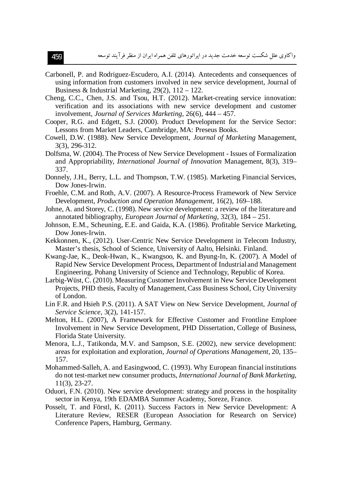- Carbonell, P. and Rodriguez-Escudero, A.I. (2014). Antecedents and consequences of using information from customers involved in new service development, Journal of Business & Industrial Marketing,  $29(2)$ ,  $112 - 122$ .
- Cheng, C.C., Chen, J.S. and Tsou, H.T. (2012). Market-creating service innovation: verification and its associations with new service development and customer involvement, Journal of Services Marketing, 26(6), 444 – 457.
- Cooper, R.G. and Edgett, S.J. (2000). Product Development for the Service Sector: Lessons from Market Leaders, Cambridge, MA: Preseus Books.
- Cowell, D.W. (1988). New Service Development, *Journal of Marketing Management*, 3(3), 296-312.
- Dolfsma, W. (2004). The Process of New Service Development Issues of Formalization and Appropriability, *International Journal of Innovation* Management, 8(3), 319– 337.
- Donnely, J.H., Berry, L.L. and Thompson, T.W. (1985). Marketing Financial Services, Dow Jones-Irwin.
- Froehle, C.M. and Roth, A.V. (2007). A Resource-Process Framework of New Service Development, *Production and Operation Management*, 16(2), 169–188.
- Johne, A. and Storey, C. (1998). New service development: a review of the literature and annotated bibliography, European Journal of Marketing,  $32(3)$ ,  $184 - 251$ .
- Johnson, E.M., Scheuning, E.E. and Gaida, K.A. (1986). Profitable Service Marketing, Dow Jones-Irwin.
- Kekkonnen, K., (2012). User-Centric New Service Development in Telecom Industry, Master's thesis, School of Science, University of Aalto, Helsinki. Finland.
- Kwang-Jae, K., Deok-Hwan, K., Kwangsoo, K. and Byung-In, K. (2007). A Model of Rapid New Service Development Process, Department of Industrial and Management Engineering, Pohang University of Science and Technology, Republic of Korea.
- Larbig-Wüst, C. (2010). Measuring Customer Involvement in New Service Development Projects, PHD thesis, Faculty of Management, Cass Business School, City University of London.
- Lin F.R. and Hsieh P.S. (2011). A SAT View on New Service Development, Journal of Service Science, 3(2), 141-157.
- Melton, H.L. (2007), A Framework for Effective Customer and Frontline Emploee Involvement in New Service Development, PHD Dissertation, College of Business, Florida State University.
- Menora, L.J., Tatikonda, M.V. and Sampson, S.E. (2002), new service development: areas for exploitation and exploration, Journal of Operations Management, 20, 135– 157.
- Mohammed-Salleh, A. and Easingwood, C. (1993). Why European financial institutions do not test-market new consumer products, International Journal of Bank Marketing,  $11(3), 23-27.$
- Oduori, F.N. (2010). New service development: strategy and process in the hospitality sector in Kenya, 19th EDAMBA Summer Academy, Soreze, France.
- Posselt, T. and Förstl, K. (2011). Success Factors in New Service Development: A Literature Review, RESER (European Association for Research on Service) Conference Papers, Hamburg, Germany.